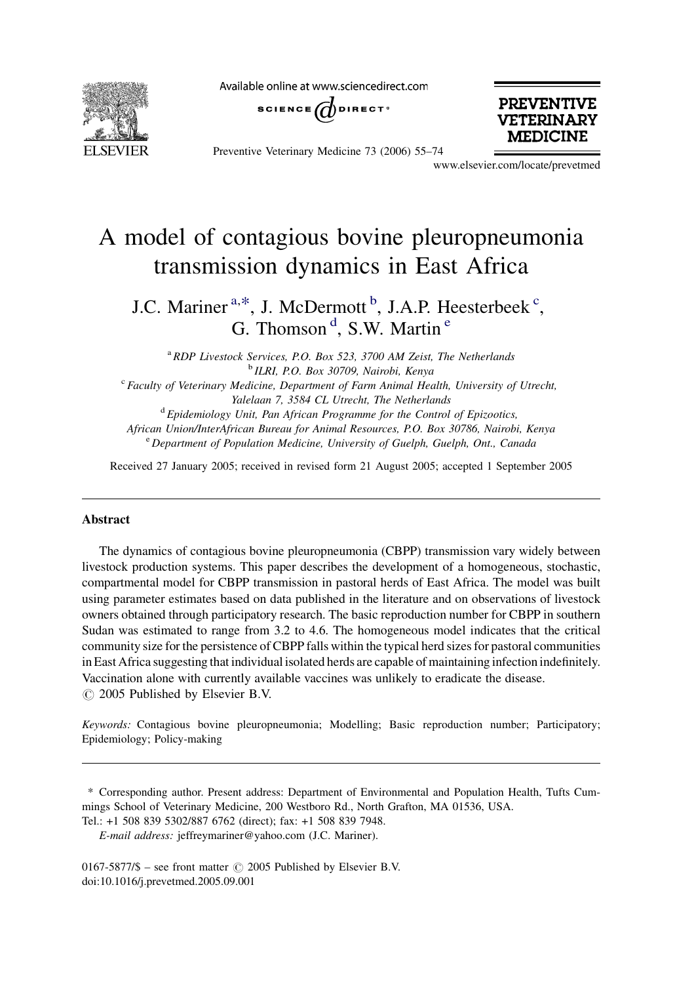

Available online at www.sciencedirect.com





Preventive Veterinary Medicine 73 (2006) 55–74

www.elsevier.com/locate/prevetmed

# A model of contagious bovine pleuropneumonia transmission dynamics in East Africa

J.C. Mariner<sup>a,\*</sup>, J. McDermott<sup>b</sup>, J.A.P. Heesterbeek<sup>c</sup>, G. Thomson<sup>d</sup>, S.W. Martin<sup>e</sup>

<sup>a</sup> RDP Livestock Services, P.O. Box 523, 3700 AM Zeist, The Netherlands <sup>b</sup> ILRI, P.O. Box 30709, Nairobi, Kenya  $c$ Faculty of Veterinary Medicine, Department of Farm Animal Health, University of Utrecht, Yalelaan 7, 3584 CL Utrecht, The Netherlands  $d$  Epidemiology Unit, Pan African Programme for the Control of Epizootics, African Union/InterAfrican Bureau for Animal Resources, P.O. Box 30786, Nairobi, Kenya <sup>e</sup> Department of Population Medicine, University of Guelph, Guelph, Ont., Canada

Received 27 January 2005; received in revised form 21 August 2005; accepted 1 September 2005

#### Abstract

The dynamics of contagious bovine pleuropneumonia (CBPP) transmission vary widely between livestock production systems. This paper describes the development of a homogeneous, stochastic, compartmental model for CBPP transmission in pastoral herds of East Africa. The model was built using parameter estimates based on data published in the literature and on observations of livestock owners obtained through participatory research. The basic reproduction number for CBPP in southern Sudan was estimated to range from 3.2 to 4.6. The homogeneous model indicates that the critical community size for the persistence of CBPP falls within the typical herd sizes for pastoral communities in East Africa suggesting that individual isolated herds are capable of maintaining infection indefinitely. Vaccination alone with currently available vaccines was unlikely to eradicate the disease.  $\odot$  2005 Published by Elsevier B.V.

Keywords: Contagious bovine pleuropneumonia; Modelling; Basic reproduction number; Participatory; Epidemiology; Policy-making

E-mail address: jeffreymariner@yahoo.com (J.C. Mariner).

0167-5877/\$ – see front matter  $\odot$  2005 Published by Elsevier B.V. doi:10.1016/j.prevetmed.2005.09.001

<sup>\*</sup> Corresponding author. Present address: Department of Environmental and Population Health, Tufts Cummings School of Veterinary Medicine, 200 Westboro Rd., North Grafton, MA 01536, USA. Tel.: +1 508 839 5302/887 6762 (direct); fax: +1 508 839 7948.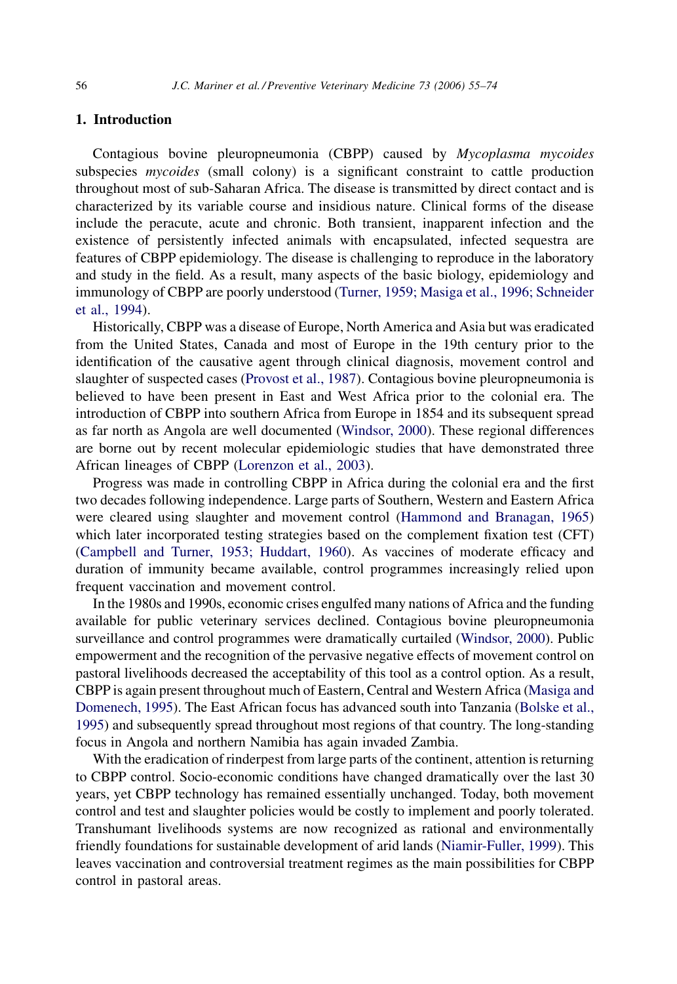# 1. Introduction

Contagious bovine pleuropneumonia (CBPP) caused by Mycoplasma mycoides subspecies *mycoides* (small colony) is a significant constraint to cattle production throughout most of sub-Saharan Africa. The disease is transmitted by direct contact and is characterized by its variable course and insidious nature. Clinical forms of the disease include the peracute, acute and chronic. Both transient, inapparent infection and the existence of persistently infected animals with encapsulated, infected sequestra are features of CBPP epidemiology. The disease is challenging to reproduce in the laboratory and study in the field. As a result, many aspects of the basic biology, epidemiology and immunology of CBPP are poorly understood ([Turner, 1959; Masiga et al., 1996; Schneider](#page-19-0) [et al., 1994](#page-19-0)).

Historically, CBPP was a disease of Europe, North America and Asia but was eradicated from the United States, Canada and most of Europe in the 19th century prior to the identification of the causative agent through clinical diagnosis, movement control and slaughter of suspected cases ([Provost et al., 1987\)](#page-19-0). Contagious bovine pleuropneumonia is believed to have been present in East and West Africa prior to the colonial era. The introduction of CBPP into southern Africa from Europe in 1854 and its subsequent spread as far north as Angola are well documented ([Windsor, 2000](#page-19-0)). These regional differences are borne out by recent molecular epidemiologic studies that have demonstrated three African lineages of CBPP ([Lorenzon et al., 2003\)](#page-18-0).

Progress was made in controlling CBPP in Africa during the colonial era and the first two decades following independence. Large parts of Southern, Western and Eastern Africa were cleared using slaughter and movement control [\(Hammond and Branagan, 1965\)](#page-18-0) which later incorporated testing strategies based on the complement fixation test (CFT) ([Campbell and Turner, 1953; Huddart, 1960\)](#page-18-0). As vaccines of moderate efficacy and duration of immunity became available, control programmes increasingly relied upon frequent vaccination and movement control.

In the 1980s and 1990s, economic crises engulfed many nations of Africa and the funding available for public veterinary services declined. Contagious bovine pleuropneumonia surveillance and control programmes were dramatically curtailed ([Windsor, 2000](#page-19-0)). Public empowerment and the recognition of the pervasive negative effects of movement control on pastoral livelihoods decreased the acceptability of this tool as a control option. As a result, CBPP is again present throughout much of Eastern, Central and Western Africa ([Masiga and](#page-18-0) [Domenech, 1995\)](#page-18-0). The East African focus has advanced south into Tanzania [\(Bolske et al.,](#page-17-0) [1995\)](#page-17-0) and subsequently spread throughout most regions of that country. The long-standing focus in Angola and northern Namibia has again invaded Zambia.

With the eradication of rinderpest from large parts of the continent, attention is returning to CBPP control. Socio-economic conditions have changed dramatically over the last 30 years, yet CBPP technology has remained essentially unchanged. Today, both movement control and test and slaughter policies would be costly to implement and poorly tolerated. Transhumant livelihoods systems are now recognized as rational and environmentally friendly foundations for sustainable development of arid lands [\(Niamir-Fuller, 1999](#page-19-0)). This leaves vaccination and controversial treatment regimes as the main possibilities for CBPP control in pastoral areas.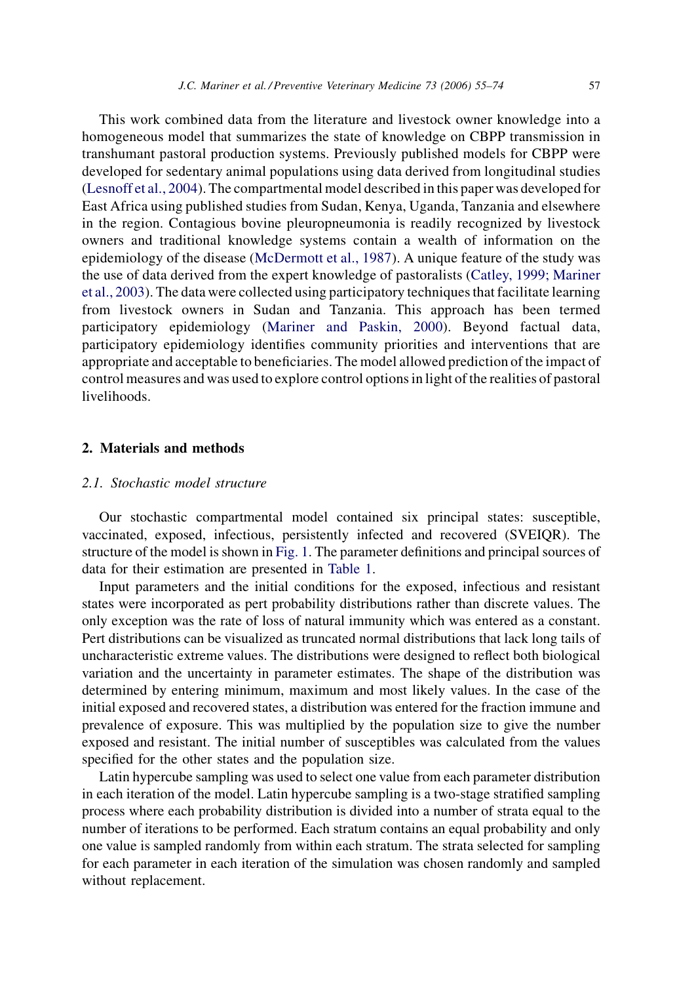This work combined data from the literature and livestock owner knowledge into a homogeneous model that summarizes the state of knowledge on CBPP transmission in transhumant pastoral production systems. Previously published models for CBPP were developed for sedentary animal populations using data derived from longitudinal studies [\(Lesnoff et al., 2004\)](#page-18-0). The compartmental model described in this paper was developed for East Africa using published studies from Sudan, Kenya, Uganda, Tanzania and elsewhere in the region. Contagious bovine pleuropneumonia is readily recognized by livestock owners and traditional knowledge systems contain a wealth of information on the epidemiology of the disease [\(McDermott et al., 1987\)](#page-19-0). A unique feature of the study was the use of data derived from the expert knowledge of pastoralists ([Catley, 1999; Mariner](#page-18-0) [et al., 2003](#page-18-0)). The data were collected using participatory techniques that facilitate learning from livestock owners in Sudan and Tanzania. This approach has been termed participatory epidemiology ([Mariner and Paskin, 2000](#page-18-0)). Beyond factual data, participatory epidemiology identifies community priorities and interventions that are appropriate and acceptable to beneficiaries. The model allowed prediction of the impact of control measures and was used to explore control options in light of the realities of pastoral

### 2. Materials and methods

livelihoods.

#### 2.1. Stochastic model structure

Our stochastic compartmental model contained six principal states: susceptible, vaccinated, exposed, infectious, persistently infected and recovered (SVEIQR). The structure of the model is shown in [Fig. 1](#page-3-0). The parameter definitions and principal sources of data for their estimation are presented in [Table 1](#page-3-0).

Input parameters and the initial conditions for the exposed, infectious and resistant states were incorporated as pert probability distributions rather than discrete values. The only exception was the rate of loss of natural immunity which was entered as a constant. Pert distributions can be visualized as truncated normal distributions that lack long tails of uncharacteristic extreme values. The distributions were designed to reflect both biological variation and the uncertainty in parameter estimates. The shape of the distribution was determined by entering minimum, maximum and most likely values. In the case of the initial exposed and recovered states, a distribution was entered for the fraction immune and prevalence of exposure. This was multiplied by the population size to give the number exposed and resistant. The initial number of susceptibles was calculated from the values specified for the other states and the population size.

Latin hypercube sampling was used to select one value from each parameter distribution in each iteration of the model. Latin hypercube sampling is a two-stage stratified sampling process where each probability distribution is divided into a number of strata equal to the number of iterations to be performed. Each stratum contains an equal probability and only one value is sampled randomly from within each stratum. The strata selected for sampling for each parameter in each iteration of the simulation was chosen randomly and sampled without replacement.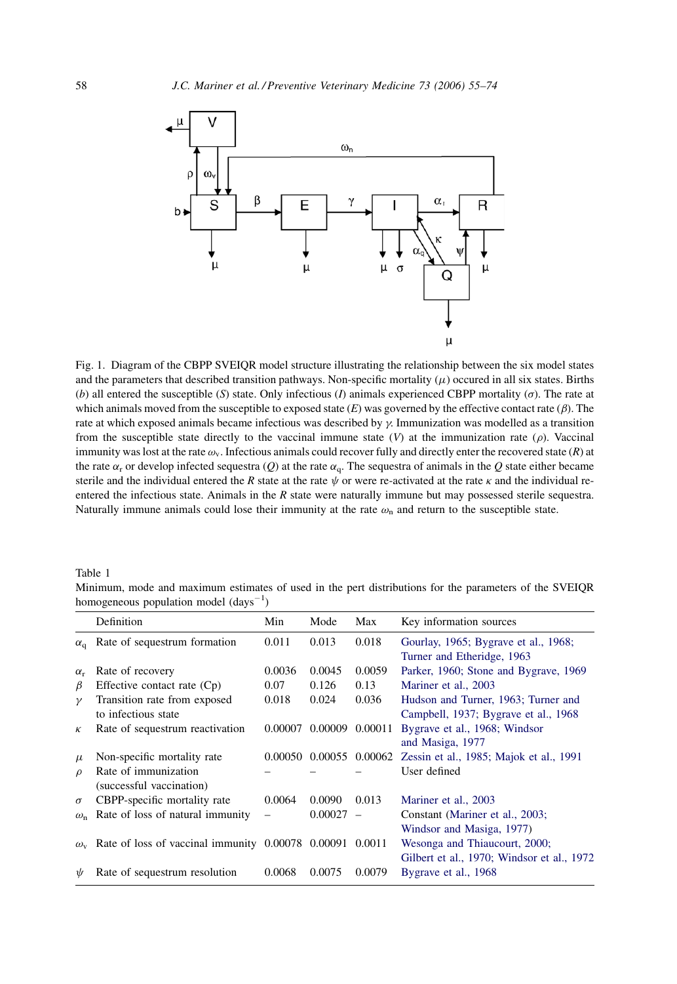<span id="page-3-0"></span>

Fig. 1. Diagram of the CBPP SVEIQR model structure illustrating the relationship between the six model states and the parameters that described transition pathways. Non-specific mortality  $(\mu)$  occured in all six states. Births (b) all entered the susceptible  $(S)$  state. Only infectious  $(I)$  animals experienced CBPP mortality  $(\sigma)$ . The rate at which animals moved from the susceptible to exposed state  $(E)$  was governed by the effective contact rate  $(\beta)$ . The rate at which exposed animals became infectious was described by  $\gamma$ . Immunization was modelled as a transition from the susceptible state directly to the vaccinal immune state  $(V)$  at the immunization rate  $(\rho)$ . Vaccinal immunity was lost at the rate  $\omega_{\rm v}$ . Infectious animals could recover fully and directly enter the recovered state (R) at the rate  $\alpha_r$  or develop infected sequestra (Q) at the rate  $\alpha_q$ . The sequestra of animals in the Q state either became sterile and the individual entered the R state at the rate  $\psi$  or were re-activated at the rate  $\kappa$  and the individual reentered the infectious state. Animals in the R state were naturally immune but may possessed sterile sequestra. Naturally immune animals could lose their immunity at the rate  $\omega_n$  and return to the susceptible state.

| ł<br>×<br>٧ |  |
|-------------|--|
|-------------|--|

Minimum, mode and maximum estimates of used in the pert distributions for the parameters of the SVEIQR homogeneous population model  $(days^{-1})$ 

|                  | Definition                                                                | Min                      | Mode            | Max     | Key information sources                                                     |
|------------------|---------------------------------------------------------------------------|--------------------------|-----------------|---------|-----------------------------------------------------------------------------|
|                  | $\alpha_{\rm q}$ Rate of sequestrum formation                             | 0.011                    | 0.013           | 0.018   | Gourlay, 1965; Bygrave et al., 1968;<br>Turner and Etheridge, 1963          |
| $\alpha_r$       | Rate of recovery                                                          | 0.0036                   | 0.0045          | 0.0059  | Parker, 1960; Stone and Bygrave, 1969                                       |
| β                | Effective contact rate $(Cp)$                                             | 0.07                     | 0.126           | 0.13    | Mariner et al., 2003                                                        |
| $\mathcal V$     | Transition rate from exposed<br>to infectious state                       | 0.018                    | 0.024           | 0.036   | Hudson and Turner, 1963; Turner and<br>Campbell, 1937; Bygrave et al., 1968 |
| $\kappa$         | Rate of sequestrum reactivation                                           | 0.00007                  | 0.00009         | 0.00011 | Bygrave et al., 1968; Windsor<br>and Masiga, 1977                           |
| $\mu$            | Non-specific mortality rate                                               | 0.00050                  | 0.00055 0.00062 |         | Zessin et al., 1985; Majok et al., 1991                                     |
| $\mathcal{O}$    | Rate of immunization<br>(successful vaccination)                          |                          |                 |         | User defined                                                                |
| $\sigma$         | CBPP-specific mortality rate                                              | 0.0064                   | 0.0090          | 0.013   | Mariner et al., 2003                                                        |
| $\omega_{\rm n}$ | Rate of loss of natural immunity                                          | $\overline{\phantom{0}}$ | $0.00027 -$     |         | Constant (Mariner et al., 2003;<br>Windsor and Masiga, 1977)                |
|                  | $\omega_{\rm v}$ Rate of loss of vaccinal immunity 0.00078 0.00091 0.0011 |                          |                 |         | Wesonga and Thiaucourt, 2000;<br>Gilbert et al., 1970; Windsor et al., 1972 |
| $\sqrt{f}$       | Rate of sequestrum resolution                                             | 0.0068                   | 0.0075          | 0.0079  | Bygrave et al., 1968                                                        |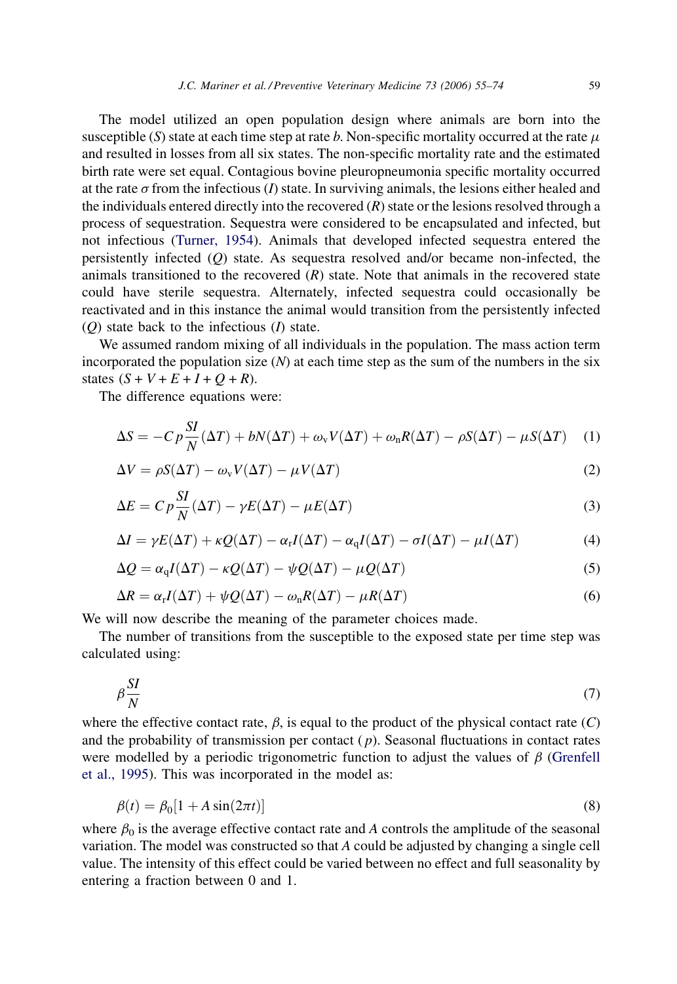<span id="page-4-0"></span>The model utilized an open population design where animals are born into the susceptible (S) state at each time step at rate b. Non-specific mortality occurred at the rate  $\mu$ and resulted in losses from all six states. The non-specific mortality rate and the estimated birth rate were set equal. Contagious bovine pleuropneumonia specific mortality occurred at the rate  $\sigma$  from the infectious (I) state. In surviving animals, the lesions either healed and the individuals entered directly into the recovered  $(R)$  state or the lesions resolved through a process of sequestration. Sequestra were considered to be encapsulated and infected, but not infectious ([Turner, 1954](#page-19-0)). Animals that developed infected sequestra entered the persistently infected  $(Q)$  state. As sequestra resolved and/or became non-infected, the animals transitioned to the recovered  $(R)$  state. Note that animals in the recovered state could have sterile sequestra. Alternately, infected sequestra could occasionally be reactivated and in this instance the animal would transition from the persistently infected  $(Q)$  state back to the infectious  $(I)$  state.

We assumed random mixing of all individuals in the population. The mass action term incorporated the population size  $(N)$  at each time step as the sum of the numbers in the six states  $(S + V + E + I + Q + R)$ .

The difference equations were:

$$
\Delta S = -Cp\frac{SI}{N}(\Delta T) + bN(\Delta T) + \omega_{\rm v}V(\Delta T) + \omega_{\rm n}R(\Delta T) - \rho S(\Delta T) - \mu S(\Delta T) \tag{1}
$$

$$
\Delta V = \rho S(\Delta T) - \omega_{\rm v} V(\Delta T) - \mu V(\Delta T) \tag{2}
$$

$$
\Delta E = C p \frac{SI}{N} (\Delta T) - \gamma E (\Delta T) - \mu E (\Delta T)
$$
\n(3)

$$
\Delta I = \gamma E(\Delta T) + \kappa Q(\Delta T) - \alpha_r I(\Delta T) - \alpha_q I(\Delta T) - \sigma I(\Delta T) - \mu I(\Delta T)
$$
\n(4)

$$
\Delta Q = \alpha_{q} I(\Delta T) - \kappa Q(\Delta T) - \psi Q(\Delta T) - \mu Q(\Delta T)
$$
\n(5)

$$
\Delta R = \alpha_{\rm r} I(\Delta T) + \psi Q(\Delta T) - \omega_{\rm n} R(\Delta T) - \mu R(\Delta T) \tag{6}
$$

We will now describe the meaning of the parameter choices made.

The number of transitions from the susceptible to the exposed state per time step was calculated using:

$$
\beta \frac{SI}{N} \tag{7}
$$

where the effective contact rate,  $\beta$ , is equal to the product of the physical contact rate (C) and the probability of transmission per contact  $(p)$ . Seasonal fluctuations in contact rates were modelled by a periodic trigonometric function to adjust the values of  $\beta$  ([Grenfell](#page-18-0) [et al., 1995\)](#page-18-0). This was incorporated in the model as:

$$
\beta(t) = \beta_0[1 + A\sin(2\pi t)]\tag{8}
$$

where  $\beta_0$  is the average effective contact rate and A controls the amplitude of the seasonal variation. The model was constructed so that A could be adjusted by changing a single cell value. The intensity of this effect could be varied between no effect and full seasonality by entering a fraction between 0 and 1.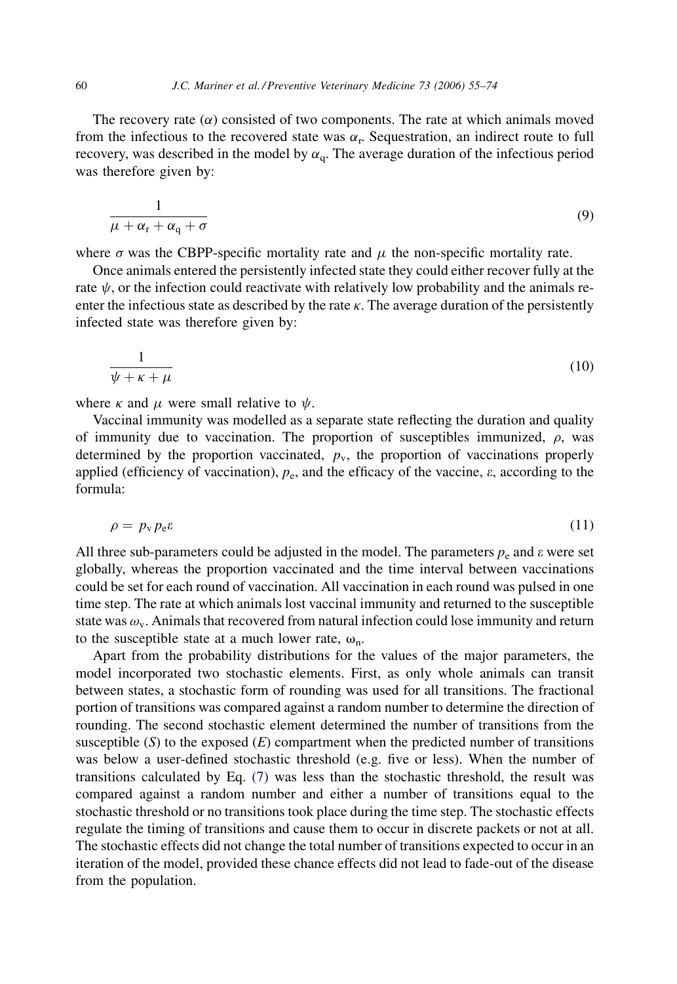The recovery rate  $(\alpha)$  consisted of two components. The rate at which animals moved from the infectious to the recovered state was  $\alpha_r$ . Sequestration, an indirect route to full recovery, was described in the model by  $\alpha_{q}$ . The average duration of the infectious period was therefore given by:

$$
\frac{1}{\mu + \alpha_{\rm r} + \alpha_{\rm q} + \sigma} \tag{9}
$$

where  $\sigma$  was the CBPP-specific mortality rate and  $\mu$  the non-specific mortality rate.

Once animals entered the persistently infected state they could either recover fully at the rate  $\psi$ , or the infection could reactivate with relatively low probability and the animals reenter the infectious state as described by the rate  $\kappa$ . The average duration of the persistently infected state was therefore given by:

$$
\frac{1}{\psi + \kappa + \mu} \tag{10}
$$

where  $\kappa$  and  $\mu$  were small relative to  $\psi$ .

Vaccinal immunity was modelled as a separate state reflecting the duration and quality of immunity due to vaccination. The proportion of susceptibles immunized,  $\rho$ , was determined by the proportion vaccinated,  $p<sub>v</sub>$ , the proportion of vaccinations properly applied (efficiency of vaccination),  $p_e$ , and the efficacy of the vaccine,  $\varepsilon$ , according to the formula:

$$
\rho = p_{\rm v} p_{\rm e} \varepsilon \tag{11}
$$

All three sub-parameters could be adjusted in the model. The parameters  $p_e$  and  $\varepsilon$  were set globally, whereas the proportion vaccinated and the time interval between vaccinations could be set for each round of vaccination. All vaccination in each round was pulsed in one time step. The rate at which animals lost vaccinal immunity and returned to the susceptible state was  $\omega_{\rm v}$ . Animals that recovered from natural infection could lose immunity and return to the susceptible state at a much lower rate,  $\omega_n$ .

Apart from the probability distributions for the values of the major parameters, the model incorporated two stochastic elements. First, as only whole animals can transit between states, a stochastic form of rounding was used for all transitions. The fractional portion of transitions was compared against a random number to determine the direction of rounding. The second stochastic element determined the number of transitions from the susceptible  $(S)$  to the exposed  $(E)$  compartment when the predicted number of transitions was below a user-defined stochastic threshold (e.g. five or less). When the number of transitions calculated by Eq. [\(7\)](#page-4-0) was less than the stochastic threshold, the result was compared against a random number and either a number of transitions equal to the stochastic threshold or no transitions took place during the time step. The stochastic effects regulate the timing of transitions and cause them to occur in discrete packets or not at all. The stochastic effects did not change the total number of transitions expected to occur in an iteration of the model, provided these chance effects did not lead to fade-out of the disease from the population.

<span id="page-5-0"></span>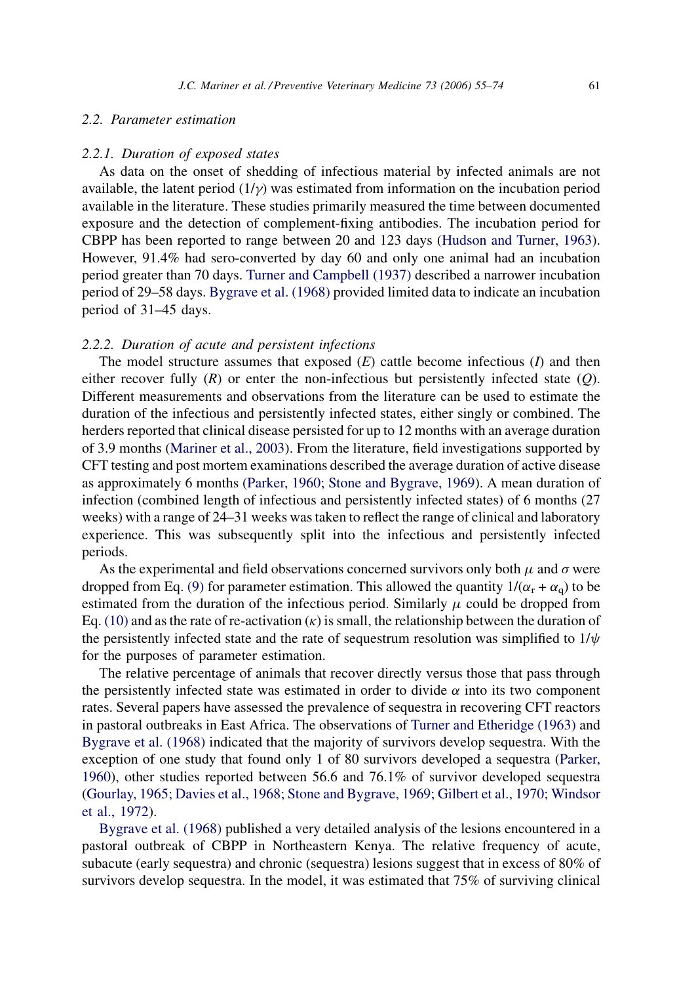# <span id="page-6-0"></span>2.2. Parameter estimation

#### 2.2.1. Duration of exposed states

As data on the onset of shedding of infectious material by infected animals are not available, the latent period  $(1/\gamma)$  was estimated from information on the incubation period available in the literature. These studies primarily measured the time between documented exposure and the detection of complement-fixing antibodies. The incubation period for CBPP has been reported to range between 20 and 123 days ([Hudson and Turner, 1963\)](#page-18-0). However, 91.4% had sero-converted by day 60 and only one animal had an incubation period greater than 70 days. [Turner and Campbell \(1937\)](#page-19-0) described a narrower incubation period of 29–58 days. [Bygrave et al. \(1968\)](#page-18-0) provided limited data to indicate an incubation period of 31–45 days.

# 2.2.2. Duration of acute and persistent infections

The model structure assumes that exposed  $(E)$  cattle become infectious  $(I)$  and then either recover fully  $(R)$  or enter the non-infectious but persistently infected state  $(Q)$ . Different measurements and observations from the literature can be used to estimate the duration of the infectious and persistently infected states, either singly or combined. The herders reported that clinical disease persisted for up to 12 months with an average duration of 3.9 months ([Mariner et al., 2003\)](#page-18-0). From the literature, field investigations supported by CFT testing and post mortem examinations described the average duration of active disease as approximately 6 months [\(Parker, 1960; Stone and Bygrave, 1969](#page-19-0)). A mean duration of infection (combined length of infectious and persistently infected states) of 6 months (27 weeks) with a range of 24–31 weeks was taken to reflect the range of clinical and laboratory experience. This was subsequently split into the infectious and persistently infected periods.

As the experimental and field observations concerned survivors only both  $\mu$  and  $\sigma$  were dropped from Eq. [\(9\)](#page-5-0) for parameter estimation. This allowed the quantity  $1/(\alpha_r + \alpha_q)$  to be estimated from the duration of the infectious period. Similarly  $\mu$  could be dropped from Eq. [\(10\)](#page-5-0) and as the rate of re-activation  $(\kappa)$  is small, the relationship between the duration of the persistently infected state and the rate of sequestrum resolution was simplified to  $1/\psi$ for the purposes of parameter estimation.

The relative percentage of animals that recover directly versus those that pass through the persistently infected state was estimated in order to divide  $\alpha$  into its two component rates. Several papers have assessed the prevalence of sequestra in recovering CFT reactors in pastoral outbreaks in East Africa. The observations of [Turner and Etheridge \(1963\)](#page-19-0) and [Bygrave et al. \(1968\)](#page-18-0) indicated that the majority of survivors develop sequestra. With the exception of one study that found only 1 of 80 survivors developed a sequestra [\(Parker,](#page-19-0) [1960\)](#page-19-0), other studies reported between 56.6 and 76.1% of survivor developed sequestra [\(Gourlay, 1965; Davies et al., 1968; Stone and Bygrave, 1969; Gilbert et al., 1970; Windsor](#page-18-0) [et al., 1972\)](#page-18-0).

[Bygrave et al. \(1968\)](#page-18-0) published a very detailed analysis of the lesions encountered in a pastoral outbreak of CBPP in Northeastern Kenya. The relative frequency of acute, subacute (early sequestra) and chronic (sequestra) lesions suggest that in excess of 80% of survivors develop sequestra. In the model, it was estimated that 75% of surviving clinical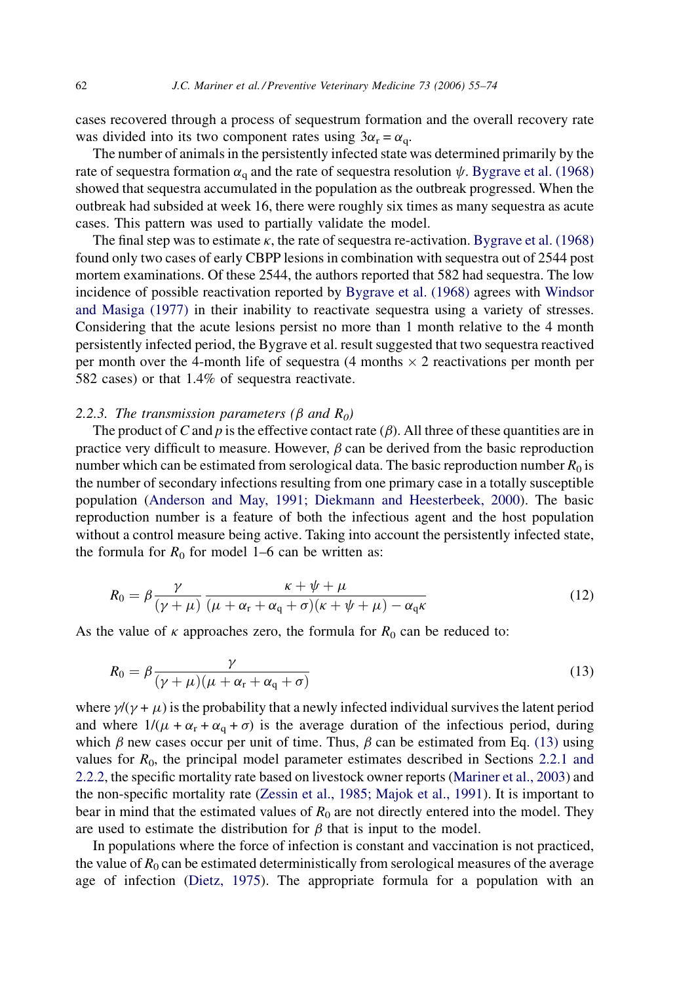<span id="page-7-0"></span>cases recovered through a process of sequestrum formation and the overall recovery rate was divided into its two component rates using  $3\alpha_r = \alpha_q$ .

The number of animals in the persistently infected state was determined primarily by the rate of sequestra formation  $\alpha_0$  and the rate of sequestra resolution  $\psi$ . [Bygrave et al. \(1968\)](#page-18-0) showed that sequestra accumulated in the population as the outbreak progressed. When the outbreak had subsided at week 16, there were roughly six times as many sequestra as acute cases. This pattern was used to partially validate the model.

The final step was to estimate  $\kappa$ , the rate of sequestra re-activation. [Bygrave et al. \(1968\)](#page-18-0) found only two cases of early CBPP lesions in combination with sequestra out of 2544 post mortem examinations. Of these 2544, the authors reported that 582 had sequestra. The low incidence of possible reactivation reported by [Bygrave et al. \(1968\)](#page-18-0) agrees with [Windsor](#page-19-0) [and Masiga \(1977\)](#page-19-0) in their inability to reactivate sequestra using a variety of stresses. Considering that the acute lesions persist no more than 1 month relative to the 4 month persistently infected period, the Bygrave et al. result suggested that two sequestra reactived per month over the 4-month life of sequestra (4 months  $\times$  2 reactivations per month per 582 cases) or that 1.4% of sequestra reactivate.

## 2.2.3. The transmission parameters ( $\beta$  and  $R_0$ )

The product of C and p is the effective contact rate ( $\beta$ ). All three of these quantities are in practice very difficult to measure. However,  $\beta$  can be derived from the basic reproduction number which can be estimated from serological data. The basic reproduction number  $R_0$  is the number of secondary infections resulting from one primary case in a totally susceptible population [\(Anderson and May, 1991; Diekmann and Heesterbeek, 2000\)](#page-17-0). The basic reproduction number is a feature of both the infectious agent and the host population without a control measure being active. Taking into account the persistently infected state, the formula for  $R_0$  for model 1–6 can be written as:

$$
R_0 = \beta \frac{\gamma}{(\gamma + \mu)} \frac{\kappa + \psi + \mu}{(\mu + \alpha_r + \alpha_q + \sigma)(\kappa + \psi + \mu) - \alpha_q \kappa}
$$
(12)

As the value of  $\kappa$  approaches zero, the formula for  $R_0$  can be reduced to:

$$
R_0 = \beta \frac{\gamma}{(\gamma + \mu)(\mu + \alpha_r + \alpha_q + \sigma)}
$$
(13)

where  $\gamma$ ( $\gamma$  +  $\mu$ ) is the probability that a newly infected individual survives the latent period and where  $1/(\mu + \alpha_r + \alpha_q + \sigma)$  is the average duration of the infectious period, during which  $\beta$  new cases occur per unit of time. Thus,  $\beta$  can be estimated from Eq. (13) using values for  $R_0$ , the principal model parameter estimates described in Sections [2.2.1 and](#page-6-0) [2.2.2](#page-6-0), the specific mortality rate based on livestock owner reports ([Mariner et al., 2003](#page-18-0)) and the non-specific mortality rate [\(Zessin et al., 1985; Majok et al., 1991](#page-19-0)). It is important to bear in mind that the estimated values of  $R_0$  are not directly entered into the model. They are used to estimate the distribution for  $\beta$  that is input to the model.

In populations where the force of infection is constant and vaccination is not practiced, the value of  $R_0$  can be estimated deterministically from serological measures of the average age of infection ([Dietz, 1975](#page-18-0)). The appropriate formula for a population with an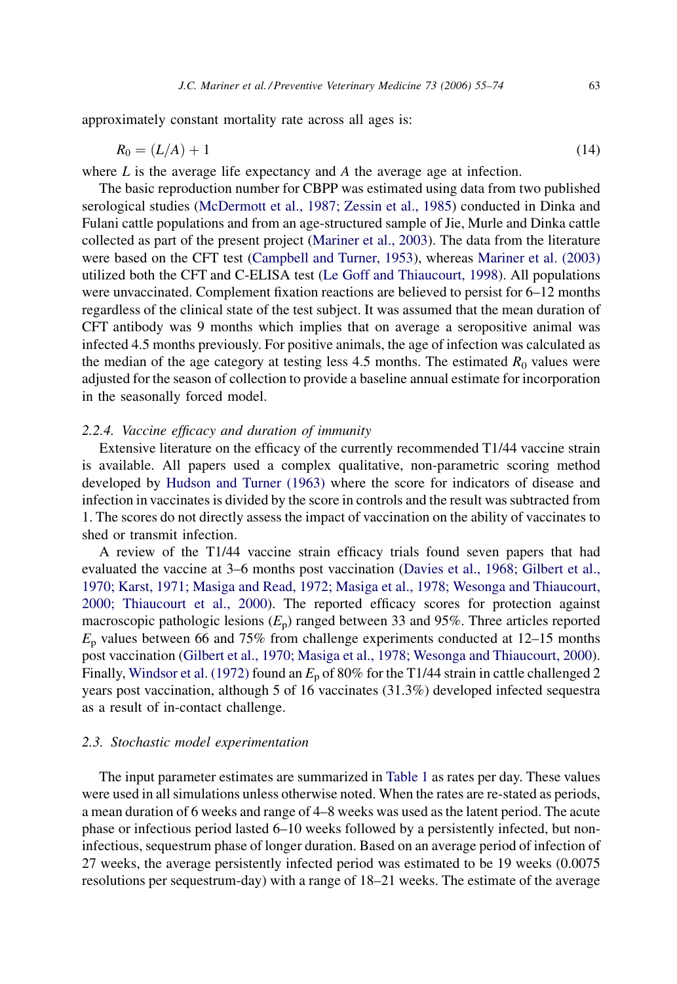$$
R_0 = (L/A) + 1 \tag{14}
$$

where  $L$  is the average life expectancy and  $A$  the average age at infection.

The basic reproduction number for CBPP was estimated using data from two published serological studies ([McDermott et al., 1987; Zessin et al., 1985\)](#page-19-0) conducted in Dinka and Fulani cattle populations and from an age-structured sample of Jie, Murle and Dinka cattle collected as part of the present project [\(Mariner et al., 2003\)](#page-18-0). The data from the literature were based on the CFT test ([Campbell and Turner, 1953\)](#page-18-0), whereas [Mariner et al. \(2003\)](#page-18-0) utilized both the CFT and C-ELISA test ([Le Goff and Thiaucourt, 1998\)](#page-18-0). All populations were unvaccinated. Complement fixation reactions are believed to persist for 6–12 months regardless of the clinical state of the test subject. It was assumed that the mean duration of CFT antibody was 9 months which implies that on average a seropositive animal was infected 4.5 months previously. For positive animals, the age of infection was calculated as the median of the age category at testing less 4.5 months. The estimated  $R_0$  values were adjusted for the season of collection to provide a baseline annual estimate for incorporation in the seasonally forced model.

# 2.2.4. Vaccine efficacy and duration of immunity

Extensive literature on the efficacy of the currently recommended T1/44 vaccine strain is available. All papers used a complex qualitative, non-parametric scoring method developed by [Hudson and Turner \(1963\)](#page-18-0) where the score for indicators of disease and infection in vaccinates is divided by the score in controls and the result was subtracted from 1. The scores do not directly assess the impact of vaccination on the ability of vaccinates to shed or transmit infection.

A review of the T1/44 vaccine strain efficacy trials found seven papers that had evaluated the vaccine at 3–6 months post vaccination [\(Davies et al., 1968; Gilbert et al.,](#page-18-0) [1970; Karst, 1971; Masiga and Read, 1972; Masiga et al., 1978; Wesonga and Thiaucourt,](#page-18-0) [2000; Thiaucourt et al., 2000\)](#page-18-0). The reported efficacy scores for protection against macroscopic pathologic lesions  $(E_p)$  ranged between 33 and 95%. Three articles reported  $E<sub>p</sub>$  values between 66 and 75% from challenge experiments conducted at 12–15 months post vaccination ([Gilbert et al., 1970; Masiga et al., 1978; Wesonga and Thiaucourt, 2000\)](#page-18-0). Finally, [Windsor et al. \(1972\)](#page-19-0) found an  $E_p$  of 80% for the T1/44 strain in cattle challenged 2 years post vaccination, although 5 of 16 vaccinates (31.3%) developed infected sequestra as a result of in-contact challenge.

# 2.3. Stochastic model experimentation

The input parameter estimates are summarized in [Table 1](#page-3-0) as rates per day. These values were used in all simulations unless otherwise noted. When the rates are re-stated as periods, a mean duration of 6 weeks and range of 4–8 weeks was used as the latent period. The acute phase or infectious period lasted 6–10 weeks followed by a persistently infected, but noninfectious, sequestrum phase of longer duration. Based on an average period of infection of 27 weeks, the average persistently infected period was estimated to be 19 weeks (0.0075 resolutions per sequestrum-day) with a range of 18–21 weeks. The estimate of the average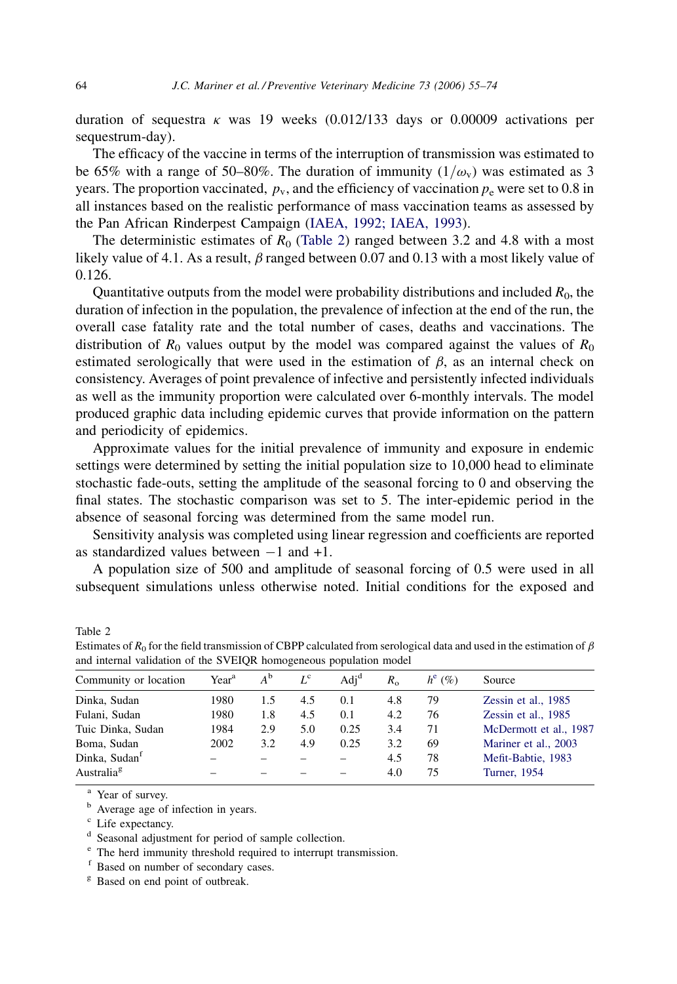duration of sequestra  $\kappa$  was 19 weeks (0.012/133 days or 0.00009 activations per sequestrum-day).

The efficacy of the vaccine in terms of the interruption of transmission was estimated to be 65% with a range of 50–80%. The duration of immunity  $(1/\omega_v)$  was estimated as 3 years. The proportion vaccinated,  $p_y$ , and the efficiency of vaccination  $p_e$  were set to 0.8 in all instances based on the realistic performance of mass vaccination teams as assessed by the Pan African Rinderpest Campaign [\(IAEA, 1992; IAEA, 1993\)](#page-18-0).

The deterministic estimates of  $R_0$  (Table 2) ranged between 3.2 and 4.8 with a most likely value of 4.1. As a result,  $\beta$  ranged between 0.07 and 0.13 with a most likely value of 0.126.

Quantitative outputs from the model were probability distributions and included  $R_0$ , the duration of infection in the population, the prevalence of infection at the end of the run, the overall case fatality rate and the total number of cases, deaths and vaccinations. The distribution of  $R_0$  values output by the model was compared against the values of  $R_0$ estimated serologically that were used in the estimation of  $\beta$ , as an internal check on consistency. Averages of point prevalence of infective and persistently infected individuals as well as the immunity proportion were calculated over 6-monthly intervals. The model produced graphic data including epidemic curves that provide information on the pattern and periodicity of epidemics.

Approximate values for the initial prevalence of immunity and exposure in endemic settings were determined by setting the initial population size to 10,000 head to eliminate stochastic fade-outs, setting the amplitude of the seasonal forcing to 0 and observing the final states. The stochastic comparison was set to 5. The inter-epidemic period in the absence of seasonal forcing was determined from the same model run.

Sensitivity analysis was completed using linear regression and coefficients are reported as standardized values between  $-1$  and  $+1$ .

A population size of 500 and amplitude of seasonal forcing of 0.5 were used in all subsequent simulations unless otherwise noted. Initial conditions for the exposed and

| and internal validation of the SVEIQR homogeneous population model |                               |              |     |                  |              |           |                        |  |
|--------------------------------------------------------------------|-------------------------------|--------------|-----|------------------|--------------|-----------|------------------------|--|
| Community or location                                              | Year <sup>a</sup> $A^b$ $L^c$ |              |     | Adi <sup>d</sup> | $R_{\alpha}$ | $h^e$ (%) | Source                 |  |
| Dinka, Sudan                                                       | 1980.                         | $\mathsf{L}$ | 4.5 | 0.1              | 4.8          | 79        | Zessin et al., 1985    |  |
| Fulani, Sudan                                                      | 1980                          | 1.8          | 4.5 | 0.1              | 4.2          | 76        | Zessin et al., 1985    |  |
| Tuic Dinka, Sudan                                                  | 1984                          | 2.9          | 5.0 | 0.25             | 3.4          |           | McDermott et al., 1987 |  |

Boma, Sudan 2002 3.2 4.9 0.25 3.2 69 [Mariner et al., 2003](#page-18-0) Dinka, Sudan<sup>f</sup> – – – – – 4.5 78 [Mefit-Babtie, 1983](#page-19-0) Australia<sup>g</sup> – – – – – 4.0 75 [Turner, 1954](#page-19-0)

Estimates of  $R_0$  for the field transmission of CBPP calculated from serological data and used in the estimation of  $\beta$ 

Table 2

 $b<sup>a</sup>$  Year of survey.<br> $b<sup>b</sup>$  Average age of infection in years.

 $\text{Lip}$  Average age of inferency.<br>  $\text{Lip}$ <br>  $\text{Lip}$  Seasonal adjustment for period of sample collection.<br>  $\text{Lip}$  The herd immunity threshold required to interrupt transmission.

f Based on number of secondary cases.<br><sup>g</sup> Based on end point of outbreak.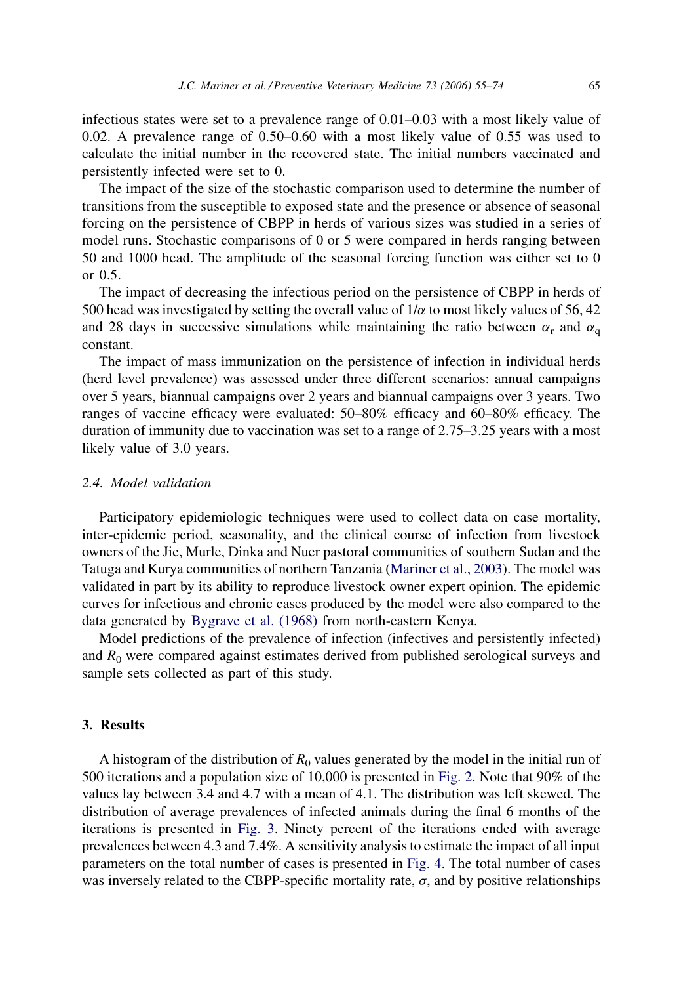infectious states were set to a prevalence range of 0.01–0.03 with a most likely value of 0.02. A prevalence range of 0.50–0.60 with a most likely value of 0.55 was used to calculate the initial number in the recovered state. The initial numbers vaccinated and persistently infected were set to 0.

The impact of the size of the stochastic comparison used to determine the number of transitions from the susceptible to exposed state and the presence or absence of seasonal forcing on the persistence of CBPP in herds of various sizes was studied in a series of model runs. Stochastic comparisons of 0 or 5 were compared in herds ranging between 50 and 1000 head. The amplitude of the seasonal forcing function was either set to 0 or 0.5.

The impact of decreasing the infectious period on the persistence of CBPP in herds of 500 head was investigated by setting the overall value of  $1/\alpha$  to most likely values of 56, 42 and 28 days in successive simulations while maintaining the ratio between  $\alpha_r$  and  $\alpha_q$ constant.

The impact of mass immunization on the persistence of infection in individual herds (herd level prevalence) was assessed under three different scenarios: annual campaigns over 5 years, biannual campaigns over 2 years and biannual campaigns over 3 years. Two ranges of vaccine efficacy were evaluated: 50–80% efficacy and 60–80% efficacy. The duration of immunity due to vaccination was set to a range of 2.75–3.25 years with a most likely value of 3.0 years.

## 2.4. Model validation

Participatory epidemiologic techniques were used to collect data on case mortality, inter-epidemic period, seasonality, and the clinical course of infection from livestock owners of the Jie, Murle, Dinka and Nuer pastoral communities of southern Sudan and the Tatuga and Kurya communities of northern Tanzania [\(Mariner et al., 2003\)](#page-18-0). The model was validated in part by its ability to reproduce livestock owner expert opinion. The epidemic curves for infectious and chronic cases produced by the model were also compared to the data generated by [Bygrave et al. \(1968\)](#page-18-0) from north-eastern Kenya.

Model predictions of the prevalence of infection (infectives and persistently infected) and  $R_0$  were compared against estimates derived from published serological surveys and sample sets collected as part of this study.

# 3. Results

A histogram of the distribution of  $R_0$  values generated by the model in the initial run of 500 iterations and a population size of 10,000 is presented in [Fig. 2.](#page-11-0) Note that 90% of the values lay between 3.4 and 4.7 with a mean of 4.1. The distribution was left skewed. The distribution of average prevalences of infected animals during the final 6 months of the iterations is presented in [Fig. 3.](#page-11-0) Ninety percent of the iterations ended with average prevalences between 4.3 and 7.4%. A sensitivity analysis to estimate the impact of all input parameters on the total number of cases is presented in [Fig. 4](#page-12-0). The total number of cases was inversely related to the CBPP-specific mortality rate,  $\sigma$ , and by positive relationships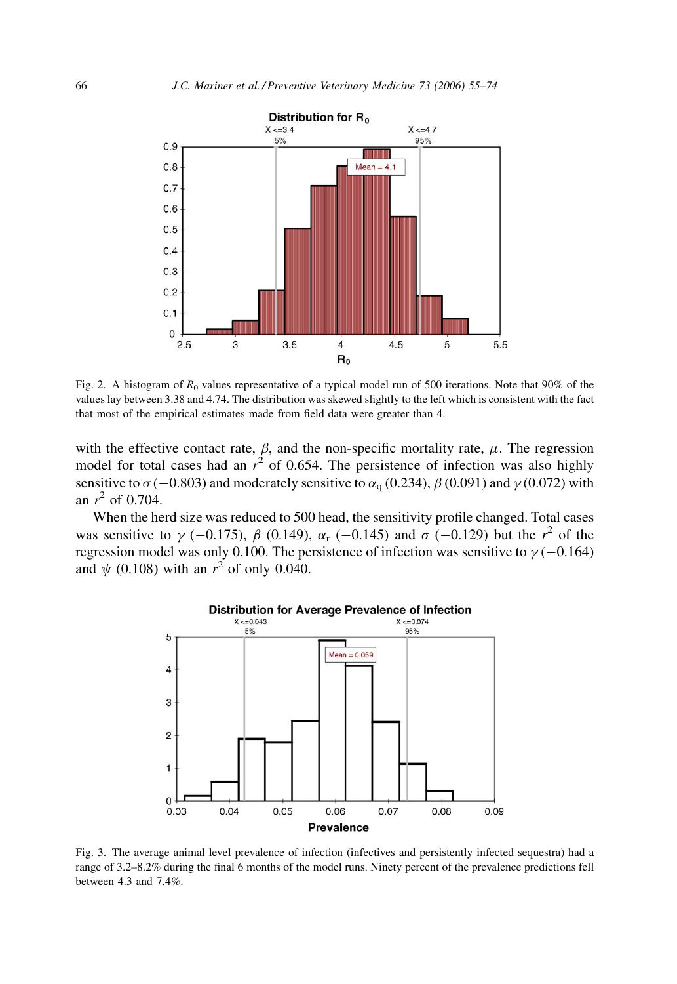<span id="page-11-0"></span>

Fig. 2. A histogram of  $R_0$  values representative of a typical model run of 500 iterations. Note that 90% of the values lay between 3.38 and 4.74. The distribution was skewed slightly to the left which is consistent with the fact that most of the empirical estimates made from field data were greater than 4.

with the effective contact rate,  $\beta$ , and the non-specific mortality rate,  $\mu$ . The regression model for total cases had an  $r^2$  of 0.654. The persistence of infection was also highly sensitive to  $\sigma$  (-0.803) and moderately sensitive to  $\alpha_{\alpha}$  (0.234),  $\beta$  (0.091) and  $\gamma$  (0.072) with an  $r^2$  of 0.704.

When the herd size was reduced to 500 head, the sensitivity profile changed. Total cases was sensitive to  $\gamma$  (-0.175),  $\beta$  (0.149),  $\alpha_r$  (-0.145) and  $\sigma$  (-0.129) but the  $r^2$  of the regression model was only 0.100. The persistence of infection was sensitive to  $\gamma$  (-0.164) and  $\psi$  (0.108) with an  $r^2$  of only 0.040.



Fig. 3. The average animal level prevalence of infection (infectives and persistently infected sequestra) had a range of 3.2–8.2% during the final 6 months of the model runs. Ninety percent of the prevalence predictions fell between 4.3 and 7.4%.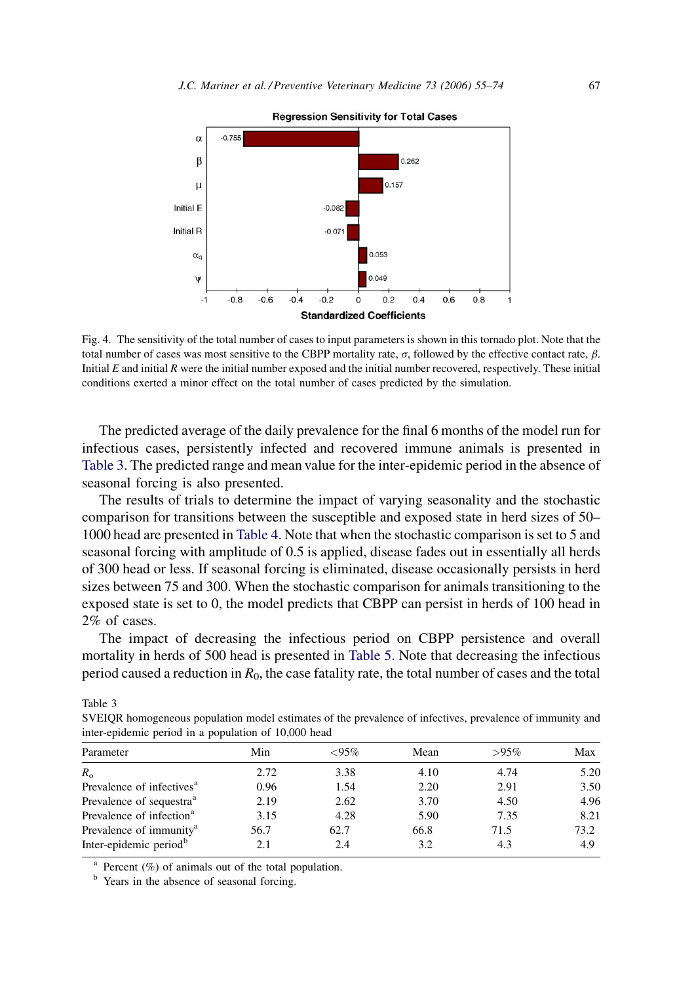<span id="page-12-0"></span>

Fig. 4. The sensitivity of the total number of cases to input parameters is shown in this tornado plot. Note that the total number of cases was most sensitive to the CBPP mortality rate,  $\sigma$ , followed by the effective contact rate,  $\beta$ . Initial  $E$  and initial  $R$  were the initial number exposed and the initial number recovered, respectively. These initial conditions exerted a minor effect on the total number of cases predicted by the simulation.

The predicted average of the daily prevalence for the final 6 months of the model run for infectious cases, persistently infected and recovered immune animals is presented in Table 3. The predicted range and mean value for the inter-epidemic period in the absence of seasonal forcing is also presented.

The results of trials to determine the impact of varying seasonality and the stochastic comparison for transitions between the susceptible and exposed state in herd sizes of 50– 1000 head are presented in [Table 4](#page-13-0). Note that when the stochastic comparison is set to 5 and seasonal forcing with amplitude of 0.5 is applied, disease fades out in essentially all herds of 300 head or less. If seasonal forcing is eliminated, disease occasionally persists in herd sizes between 75 and 300. When the stochastic comparison for animals transitioning to the exposed state is set to 0, the model predicts that CBPP can persist in herds of 100 head in 2% of cases.

The impact of decreasing the infectious period on CBPP persistence and overall mortality in herds of 500 head is presented in [Table 5.](#page-13-0) Note that decreasing the infectious period caused a reduction in  $R_0$ , the case fatality rate, the total number of cases and the total

| mer epidemic period in a population of 10,000 nead |      |           |      |         |      |  |  |
|----------------------------------------------------|------|-----------|------|---------|------|--|--|
| Parameter                                          | Min  | ${<}95\%$ | Mean | $>95\%$ | Max  |  |  |
| $R_{\alpha}$                                       | 2.72 | 3.38      | 4.10 | 4.74    | 5.20 |  |  |
| Prevalence of infectives <sup>a</sup>              | 0.96 | 1.54      | 2.20 | 2.91    | 3.50 |  |  |
| Prevalence of sequestra <sup>a</sup>               | 2.19 | 2.62      | 3.70 | 4.50    | 4.96 |  |  |
| Prevalence of infection <sup>a</sup>               | 3.15 | 4.28      | 5.90 | 7.35    | 8.21 |  |  |
| Prevalence of immunity <sup>a</sup>                | 56.7 | 62.7      | 66.8 | 71.5    | 73.2 |  |  |
| Inter-epidemic period <sup>b</sup>                 | 2.1  | 2.4       | 3.2  | 4.3     | 4.9  |  |  |
|                                                    |      |           |      |         |      |  |  |

Table 3

SVEIQR homogeneous population model estimates of the prevalence of infectives, prevalence of immunity and inter-epidemic period in a population of 10,000 head

<sup>a</sup> Percent (%) of animals out of the total population. b Years in the absence of seasonal forcing.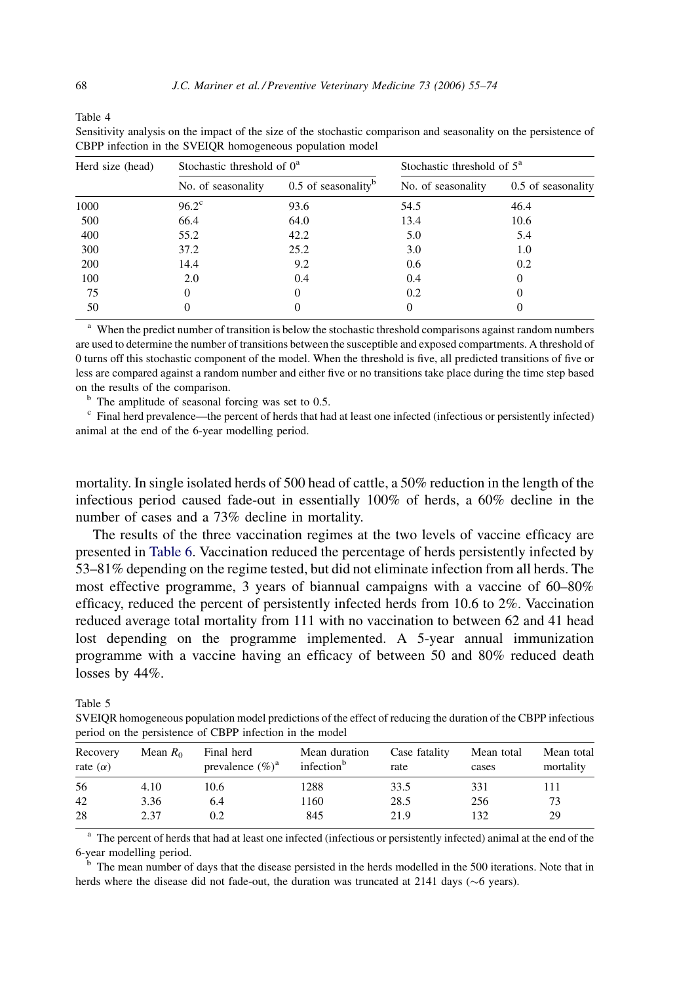| Herd size (head) | Stochastic threshold of $0^a$ |                                   | Stochastic threshold of 5 <sup>a</sup> |                    |  |
|------------------|-------------------------------|-----------------------------------|----------------------------------------|--------------------|--|
|                  | No. of seasonality            | $0.5$ of seasonality <sup>b</sup> | No. of seasonality                     | 0.5 of seasonality |  |
| 1000             | $96.2^{\circ}$                | 93.6                              | 54.5                                   | 46.4               |  |
| 500              | 66.4                          | 64.0                              | 13.4                                   | 10.6               |  |
| 400              | 55.2                          | 42.2                              | 5.0                                    | 5.4                |  |
| 300              | 37.2                          | 25.2                              | 3.0                                    | 1.0                |  |
| 200              | 14.4                          | 9.2                               | 0.6                                    | 0.2                |  |
| 100              | 2.0                           | 0.4                               | 0.4                                    | $\Omega$           |  |
| 75               | 0                             | $\Omega$                          | 0.2                                    | 0                  |  |
| 50               |                               |                                   | 0                                      |                    |  |

Sensitivity analysis on the impact of the size of the stochastic comparison and seasonality on the persistence of CBPP infection in the SVEIQR homogeneous population model

<sup>a</sup> When the predict number of transition is below the stochastic threshold comparisons against random numbers are used to determine the number of transitions between the susceptible and exposed compartments. A threshold of 0 turns off this stochastic component of the model. When the threshold is five, all predicted transitions of five or less are compared against a random number and either five or no transitions take place during the time step based on the results of the comparison.  $b^b$  The amplitude of seasonal forcing was set to 0.5.

<sup>c</sup> Final herd prevalence—the percent of herds that had at least one infected (infectious or persistently infected) animal at the end of the 6-year modelling period.

mortality. In single isolated herds of 500 head of cattle, a 50% reduction in the length of the infectious period caused fade-out in essentially 100% of herds, a 60% decline in the number of cases and a 73% decline in mortality.

The results of the three vaccination regimes at the two levels of vaccine efficacy are presented in [Table 6](#page-14-0). Vaccination reduced the percentage of herds persistently infected by 53–81% depending on the regime tested, but did not eliminate infection from all herds. The most effective programme, 3 years of biannual campaigns with a vaccine of 60–80% efficacy, reduced the percent of persistently infected herds from 10.6 to 2%. Vaccination reduced average total mortality from 111 with no vaccination to between 62 and 41 head lost depending on the programme implemented. A 5-year annual immunization programme with a vaccine having an efficacy of between 50 and 80% reduced death losses by 44%.

Table 5

SVEIQR homogeneous population model predictions of the effect of reducing the duration of the CBPP infectious period on the persistence of CBPP infection in the model

| Recovery<br>rate $(\alpha)$ | Mean $R_0$ | Final herd<br>prevalence $(\%)^a$ | Mean duration<br>infection <sup>b</sup> | Case fatality<br>rate | Mean total<br>cases | Mean total<br>mortality |
|-----------------------------|------------|-----------------------------------|-----------------------------------------|-----------------------|---------------------|-------------------------|
| 56                          | 4.10       | 10.6                              | 1288                                    | 33.5                  | 331                 |                         |
| 42                          | 3.36       | 6.4                               | 1160                                    | 28.5                  | 256                 | 73                      |
| 28                          | 2.37       | 0.2                               | 845                                     | 21.9                  | 132                 | 29                      |

<sup>a</sup> The percent of herds that had at least one infected (infectious or persistently infected) animal at the end of the 6-year modelling period.

<sup>b</sup> The mean number of days that the disease persisted in the herds modelled in the 500 iterations. Note that in herds where the disease did not fade-out, the duration was truncated at 2141 days ( $\sim$ 6 years).

<span id="page-13-0"></span>Table 4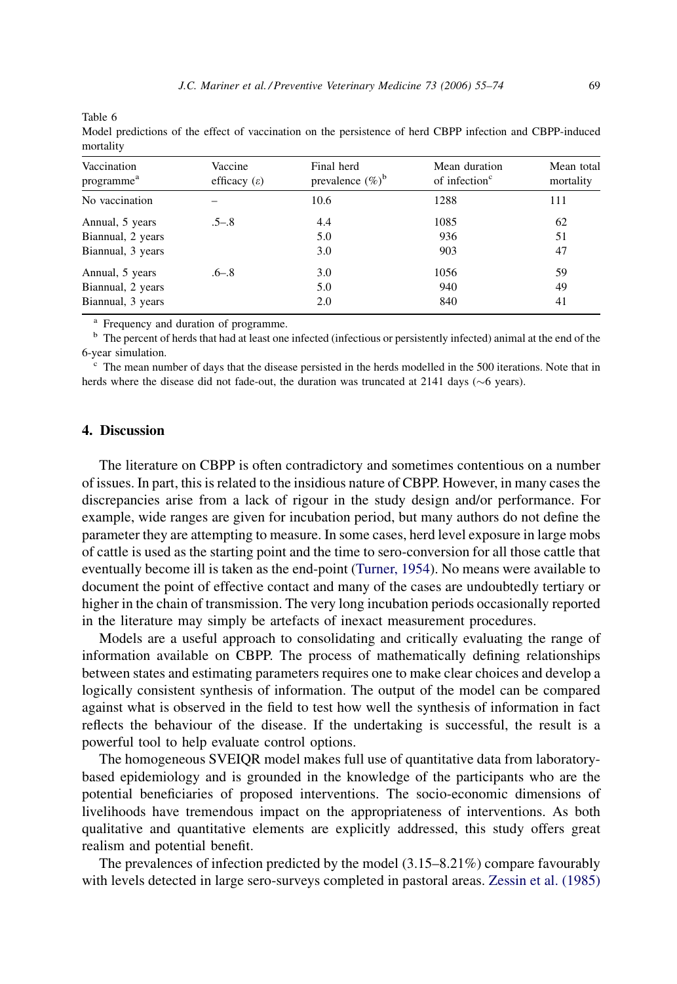<span id="page-14-0"></span>Table 6

| Vaccination<br>programme <sup>a</sup> | Vaccine<br>efficacy $(\varepsilon)$ | Final herd<br>prevalence $(\%)^b$ | Mean duration<br>of infection <sup>c</sup> | Mean total<br>mortality |
|---------------------------------------|-------------------------------------|-----------------------------------|--------------------------------------------|-------------------------|
| No vaccination                        |                                     | 10.6                              | 1288                                       | 111                     |
| Annual, 5 years                       | $.5 - .8$                           | 4.4                               | 1085                                       | 62                      |
| Biannual, 2 years                     |                                     | 5.0                               | 936                                        | 51                      |
| Biannual, 3 years                     |                                     | 3.0                               | 903                                        | 47                      |
| Annual, 5 years                       | $-6 - 8$                            | 3.0                               | 1056                                       | 59                      |
| Biannual, 2 years                     |                                     | 5.0                               | 940                                        | 49                      |
| Biannual, 3 years                     |                                     | 2.0                               | 840                                        | 41                      |

Model predictions of the effect of vaccination on the persistence of herd CBPP infection and CBPP-induced mortality

<sup>a</sup> Frequency and duration of programme.<br><sup>b</sup> The percent of herds that had at least one infected (infectious or persistently infected) animal at the end of the 6-year simulation.<br><sup>c</sup> The mean number of days that the disease persisted in the herds modelled in the 500 iterations. Note that in

herds where the disease did not fade-out, the duration was truncated at 2141 days ( $\sim$ 6 years).

## 4. Discussion

The literature on CBPP is often contradictory and sometimes contentious on a number of issues. In part, this is related to the insidious nature of CBPP. However, in many cases the discrepancies arise from a lack of rigour in the study design and/or performance. For example, wide ranges are given for incubation period, but many authors do not define the parameter they are attempting to measure. In some cases, herd level exposure in large mobs of cattle is used as the starting point and the time to sero-conversion for all those cattle that eventually become ill is taken as the end-point [\(Turner, 1954](#page-19-0)). No means were available to document the point of effective contact and many of the cases are undoubtedly tertiary or higher in the chain of transmission. The very long incubation periods occasionally reported in the literature may simply be artefacts of inexact measurement procedures.

Models are a useful approach to consolidating and critically evaluating the range of information available on CBPP. The process of mathematically defining relationships between states and estimating parameters requires one to make clear choices and develop a logically consistent synthesis of information. The output of the model can be compared against what is observed in the field to test how well the synthesis of information in fact reflects the behaviour of the disease. If the undertaking is successful, the result is a powerful tool to help evaluate control options.

The homogeneous SVEIQR model makes full use of quantitative data from laboratorybased epidemiology and is grounded in the knowledge of the participants who are the potential beneficiaries of proposed interventions. The socio-economic dimensions of livelihoods have tremendous impact on the appropriateness of interventions. As both qualitative and quantitative elements are explicitly addressed, this study offers great realism and potential benefit.

The prevalences of infection predicted by the model (3.15–8.21%) compare favourably with levels detected in large sero-surveys completed in pastoral areas. [Zessin et al. \(1985\)](#page-19-0)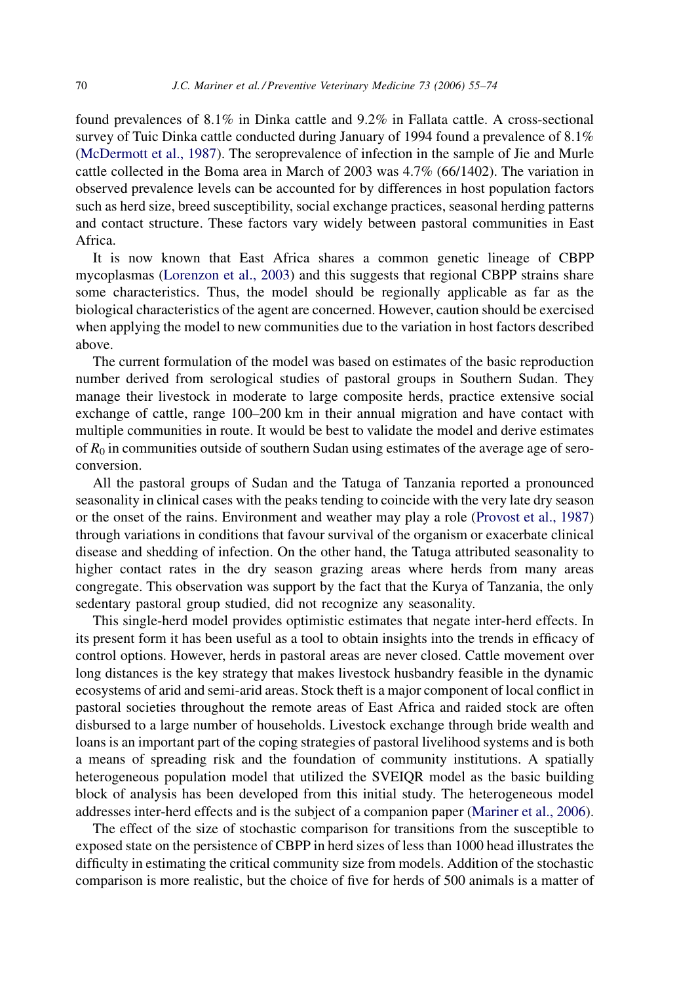found prevalences of 8.1% in Dinka cattle and 9.2% in Fallata cattle. A cross-sectional survey of Tuic Dinka cattle conducted during January of 1994 found a prevalence of 8.1% ([McDermott et al., 1987\)](#page-19-0). The seroprevalence of infection in the sample of Jie and Murle cattle collected in the Boma area in March of 2003 was 4.7% (66/1402). The variation in observed prevalence levels can be accounted for by differences in host population factors such as herd size, breed susceptibility, social exchange practices, seasonal herding patterns and contact structure. These factors vary widely between pastoral communities in East Africa.

It is now known that East Africa shares a common genetic lineage of CBPP mycoplasmas [\(Lorenzon et al., 2003\)](#page-18-0) and this suggests that regional CBPP strains share some characteristics. Thus, the model should be regionally applicable as far as the biological characteristics of the agent are concerned. However, caution should be exercised when applying the model to new communities due to the variation in host factors described above.

The current formulation of the model was based on estimates of the basic reproduction number derived from serological studies of pastoral groups in Southern Sudan. They manage their livestock in moderate to large composite herds, practice extensive social exchange of cattle, range 100–200 km in their annual migration and have contact with multiple communities in route. It would be best to validate the model and derive estimates of  $R_0$  in communities outside of southern Sudan using estimates of the average age of seroconversion.

All the pastoral groups of Sudan and the Tatuga of Tanzania reported a pronounced seasonality in clinical cases with the peaks tending to coincide with the very late dry season or the onset of the rains. Environment and weather may play a role [\(Provost et al., 1987\)](#page-19-0) through variations in conditions that favour survival of the organism or exacerbate clinical disease and shedding of infection. On the other hand, the Tatuga attributed seasonality to higher contact rates in the dry season grazing areas where herds from many areas congregate. This observation was support by the fact that the Kurya of Tanzania, the only sedentary pastoral group studied, did not recognize any seasonality.

This single-herd model provides optimistic estimates that negate inter-herd effects. In its present form it has been useful as a tool to obtain insights into the trends in efficacy of control options. However, herds in pastoral areas are never closed. Cattle movement over long distances is the key strategy that makes livestock husbandry feasible in the dynamic ecosystems of arid and semi-arid areas. Stock theft is a major component of local conflict in pastoral societies throughout the remote areas of East Africa and raided stock are often disbursed to a large number of households. Livestock exchange through bride wealth and loans is an important part of the coping strategies of pastoral livelihood systems and is both a means of spreading risk and the foundation of community institutions. A spatially heterogeneous population model that utilized the SVEIQR model as the basic building block of analysis has been developed from this initial study. The heterogeneous model addresses inter-herd effects and is the subject of a companion paper [\(Mariner et al., 2006](#page-18-0)).

The effect of the size of stochastic comparison for transitions from the susceptible to exposed state on the persistence of CBPP in herd sizes of less than 1000 head illustrates the difficulty in estimating the critical community size from models. Addition of the stochastic comparison is more realistic, but the choice of five for herds of 500 animals is a matter of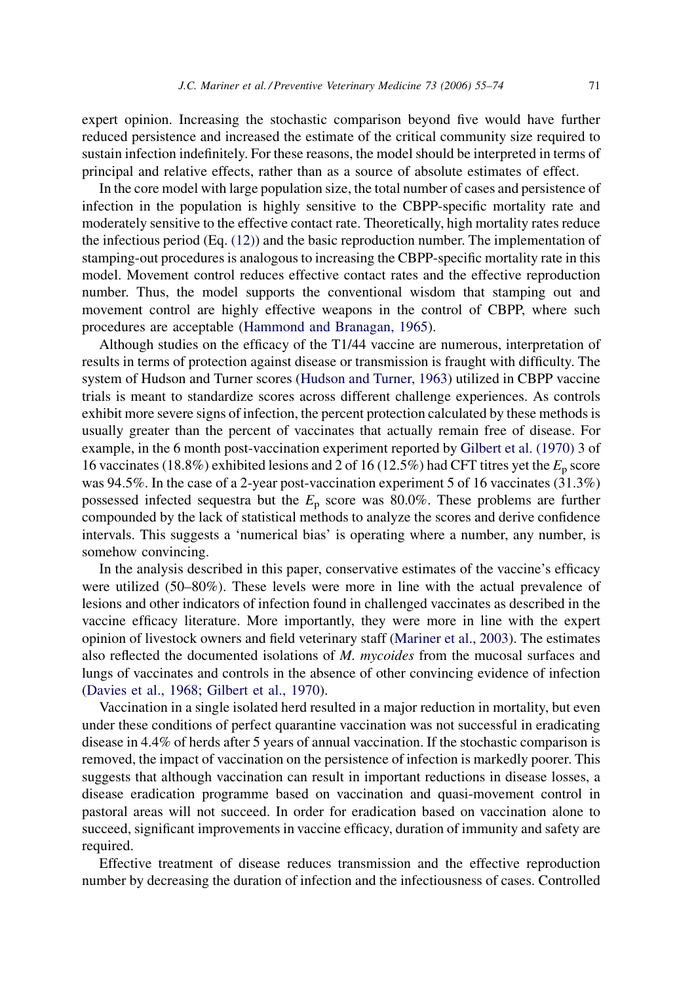expert opinion. Increasing the stochastic comparison beyond five would have further reduced persistence and increased the estimate of the critical community size required to sustain infection indefinitely. For these reasons, the model should be interpreted in terms of principal and relative effects, rather than as a source of absolute estimates of effect.

In the core model with large population size, the total number of cases and persistence of infection in the population is highly sensitive to the CBPP-specific mortality rate and moderately sensitive to the effective contact rate. Theoretically, high mortality rates reduce the infectious period (Eq. [\(12\)](#page-7-0)) and the basic reproduction number. The implementation of stamping-out procedures is analogous to increasing the CBPP-specific mortality rate in this model. Movement control reduces effective contact rates and the effective reproduction number. Thus, the model supports the conventional wisdom that stamping out and movement control are highly effective weapons in the control of CBPP, where such procedures are acceptable ([Hammond and Branagan, 1965\)](#page-18-0).

Although studies on the efficacy of the T1/44 vaccine are numerous, interpretation of results in terms of protection against disease or transmission is fraught with difficulty. The system of Hudson and Turner scores ([Hudson and Turner, 1963\)](#page-18-0) utilized in CBPP vaccine trials is meant to standardize scores across different challenge experiences. As controls exhibit more severe signs of infection, the percent protection calculated by these methods is usually greater than the percent of vaccinates that actually remain free of disease. For example, in the 6 month post-vaccination experiment reported by [Gilbert et al. \(1970\)](#page-18-0) 3 of 16 vaccinates (18.8%) exhibited lesions and 2 of 16 (12.5%) had CFT titres yet the  $E_p$  score was 94.5%. In the case of a 2-year post-vaccination experiment 5 of 16 vaccinates (31.3%) possessed infected sequestra but the  $E<sub>p</sub>$  score was 80.0%. These problems are further compounded by the lack of statistical methods to analyze the scores and derive confidence intervals. This suggests a 'numerical bias' is operating where a number, any number, is somehow convincing.

In the analysis described in this paper, conservative estimates of the vaccine's efficacy were utilized (50–80%). These levels were more in line with the actual prevalence of lesions and other indicators of infection found in challenged vaccinates as described in the vaccine efficacy literature. More importantly, they were more in line with the expert opinion of livestock owners and field veterinary staff ([Mariner et al., 2003\)](#page-18-0). The estimates also reflected the documented isolations of M. mycoides from the mucosal surfaces and lungs of vaccinates and controls in the absence of other convincing evidence of infection [\(Davies et al., 1968; Gilbert et al., 1970](#page-18-0)).

Vaccination in a single isolated herd resulted in a major reduction in mortality, but even under these conditions of perfect quarantine vaccination was not successful in eradicating disease in 4.4% of herds after 5 years of annual vaccination. If the stochastic comparison is removed, the impact of vaccination on the persistence of infection is markedly poorer. This suggests that although vaccination can result in important reductions in disease losses, a disease eradication programme based on vaccination and quasi-movement control in pastoral areas will not succeed. In order for eradication based on vaccination alone to succeed, significant improvements in vaccine efficacy, duration of immunity and safety are required.

Effective treatment of disease reduces transmission and the effective reproduction number by decreasing the duration of infection and the infectiousness of cases. Controlled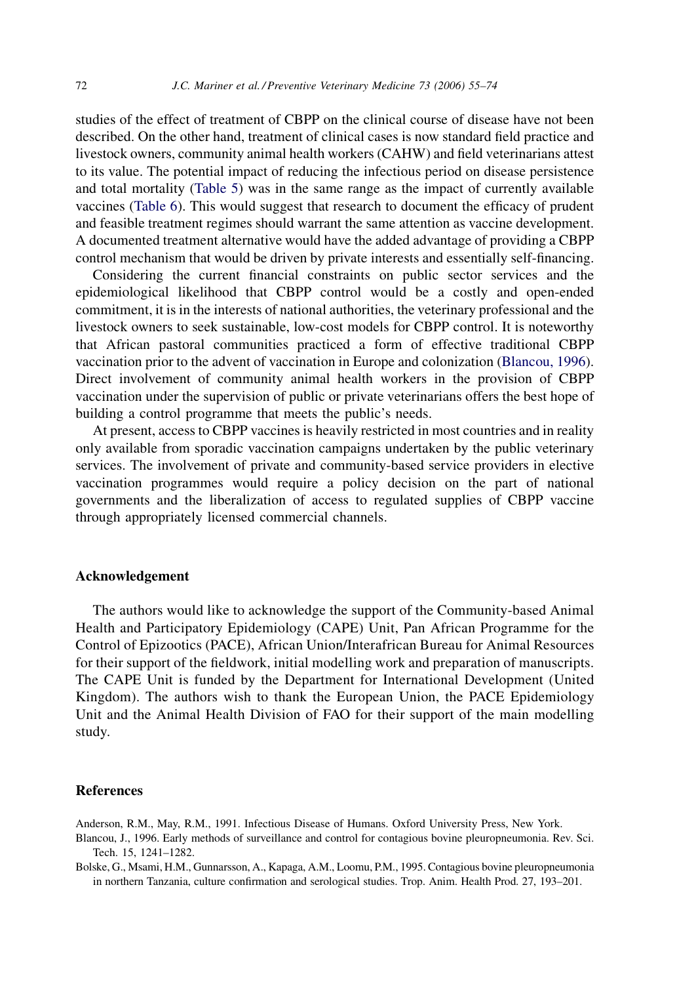<span id="page-17-0"></span>studies of the effect of treatment of CBPP on the clinical course of disease have not been described. On the other hand, treatment of clinical cases is now standard field practice and livestock owners, community animal health workers (CAHW) and field veterinarians attest to its value. The potential impact of reducing the infectious period on disease persistence and total mortality ([Table 5\)](#page-13-0) was in the same range as the impact of currently available vaccines ([Table 6\)](#page-14-0). This would suggest that research to document the efficacy of prudent and feasible treatment regimes should warrant the same attention as vaccine development. A documented treatment alternative would have the added advantage of providing a CBPP control mechanism that would be driven by private interests and essentially self-financing.

Considering the current financial constraints on public sector services and the epidemiological likelihood that CBPP control would be a costly and open-ended commitment, it is in the interests of national authorities, the veterinary professional and the livestock owners to seek sustainable, low-cost models for CBPP control. It is noteworthy that African pastoral communities practiced a form of effective traditional CBPP vaccination prior to the advent of vaccination in Europe and colonization (Blancou, 1996). Direct involvement of community animal health workers in the provision of CBPP vaccination under the supervision of public or private veterinarians offers the best hope of building a control programme that meets the public's needs.

At present, access to CBPP vaccines is heavily restricted in most countries and in reality only available from sporadic vaccination campaigns undertaken by the public veterinary services. The involvement of private and community-based service providers in elective vaccination programmes would require a policy decision on the part of national governments and the liberalization of access to regulated supplies of CBPP vaccine through appropriately licensed commercial channels.

#### Acknowledgement

The authors would like to acknowledge the support of the Community-based Animal Health and Participatory Epidemiology (CAPE) Unit, Pan African Programme for the Control of Epizootics (PACE), African Union/Interafrican Bureau for Animal Resources for their support of the fieldwork, initial modelling work and preparation of manuscripts. The CAPE Unit is funded by the Department for International Development (United Kingdom). The authors wish to thank the European Union, the PACE Epidemiology Unit and the Animal Health Division of FAO for their support of the main modelling study.

#### References

Anderson, R.M., May, R.M., 1991. Infectious Disease of Humans. Oxford University Press, New York.

Blancou, J., 1996. Early methods of surveillance and control for contagious bovine pleuropneumonia. Rev. Sci. Tech. 15, 1241–1282.

Bolske, G., Msami, H.M., Gunnarsson, A., Kapaga, A.M., Loomu, P.M., 1995. Contagious bovine pleuropneumonia in northern Tanzania, culture confirmation and serological studies. Trop. Anim. Health Prod. 27, 193–201.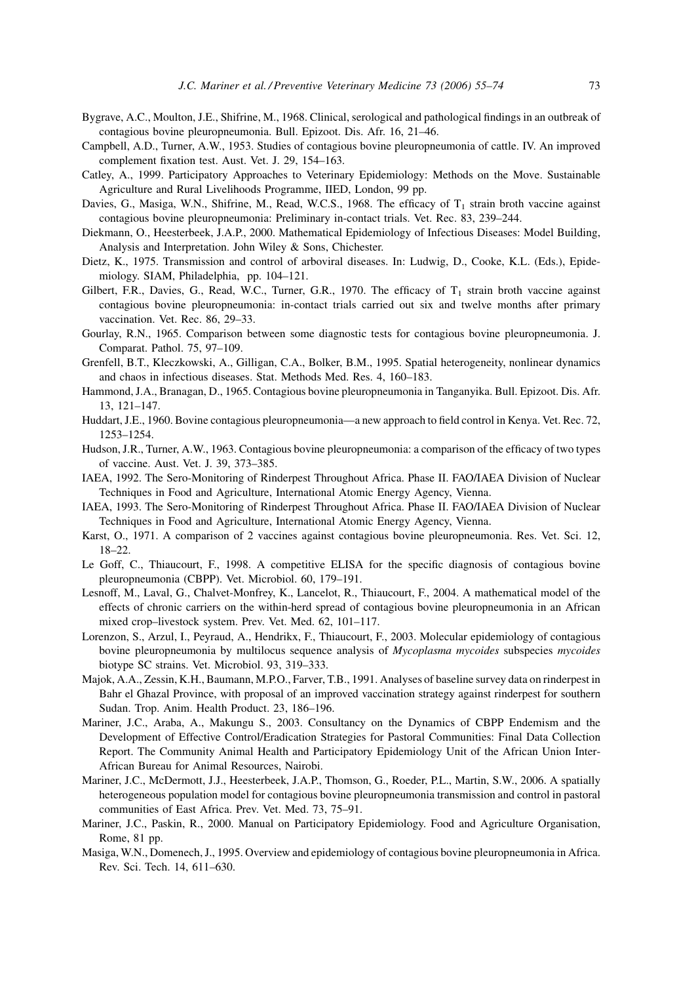- <span id="page-18-0"></span>Bygrave, A.C., Moulton, J.E., Shifrine, M., 1968. Clinical, serological and pathological findings in an outbreak of contagious bovine pleuropneumonia. Bull. Epizoot. Dis. Afr. 16, 21–46.
- Campbell, A.D., Turner, A.W., 1953. Studies of contagious bovine pleuropneumonia of cattle. IV. An improved complement fixation test. Aust. Vet. J. 29, 154–163.
- Catley, A., 1999. Participatory Approaches to Veterinary Epidemiology: Methods on the Move. Sustainable Agriculture and Rural Livelihoods Programme, IIED, London, 99 pp.
- Davies, G., Masiga, W.N., Shifrine, M., Read, W.C.S., 1968. The efficacy of  $T_1$  strain broth vaccine against contagious bovine pleuropneumonia: Preliminary in-contact trials. Vet. Rec. 83, 239–244.
- Diekmann, O., Heesterbeek, J.A.P., 2000. Mathematical Epidemiology of Infectious Diseases: Model Building, Analysis and Interpretation. John Wiley & Sons, Chichester.
- Dietz, K., 1975. Transmission and control of arboviral diseases. In: Ludwig, D., Cooke, K.L. (Eds.), Epidemiology. SIAM, Philadelphia, pp. 104–121.
- Gilbert, F.R., Davies, G., Read, W.C., Turner, G.R., 1970. The efficacy of  $T_1$  strain broth vaccine against contagious bovine pleuropneumonia: in-contact trials carried out six and twelve months after primary vaccination. Vet. Rec. 86, 29–33.
- Gourlay, R.N., 1965. Comparison between some diagnostic tests for contagious bovine pleuropneumonia. J. Comparat. Pathol. 75, 97–109.
- Grenfell, B.T., Kleczkowski, A., Gilligan, C.A., Bolker, B.M., 1995. Spatial heterogeneity, nonlinear dynamics and chaos in infectious diseases. Stat. Methods Med. Res. 4, 160–183.
- Hammond, J.A., Branagan, D., 1965. Contagious bovine pleuropneumonia in Tanganyika. Bull. Epizoot. Dis. Afr. 13, 121–147.
- Huddart, J.E., 1960. Bovine contagious pleuropneumonia—a new approach to field control in Kenya. Vet. Rec. 72, 1253–1254.
- Hudson, J.R., Turner, A.W., 1963. Contagious bovine pleuropneumonia: a comparison of the efficacy of two types of vaccine. Aust. Vet. J. 39, 373–385.
- IAEA, 1992. The Sero-Monitoring of Rinderpest Throughout Africa. Phase II. FAO/IAEA Division of Nuclear Techniques in Food and Agriculture, International Atomic Energy Agency, Vienna.
- IAEA, 1993. The Sero-Monitoring of Rinderpest Throughout Africa. Phase II. FAO/IAEA Division of Nuclear Techniques in Food and Agriculture, International Atomic Energy Agency, Vienna.
- Karst, O., 1971. A comparison of 2 vaccines against contagious bovine pleuropneumonia. Res. Vet. Sci. 12, 18–22.
- Le Goff, C., Thiaucourt, F., 1998. A competitive ELISA for the specific diagnosis of contagious bovine pleuropneumonia (CBPP). Vet. Microbiol. 60, 179–191.
- Lesnoff, M., Laval, G., Chalvet-Monfrey, K., Lancelot, R., Thiaucourt, F., 2004. A mathematical model of the effects of chronic carriers on the within-herd spread of contagious bovine pleuropneumonia in an African mixed crop–livestock system. Prev. Vet. Med. 62, 101–117.
- Lorenzon, S., Arzul, I., Peyraud, A., Hendrikx, F., Thiaucourt, F., 2003. Molecular epidemiology of contagious bovine pleuropneumonia by multilocus sequence analysis of Mycoplasma mycoides subspecies mycoides biotype SC strains. Vet. Microbiol. 93, 319–333.
- Majok, A.A., Zessin, K.H., Baumann, M.P.O., Farver, T.B., 1991. Analyses of baseline survey data on rinderpest in Bahr el Ghazal Province, with proposal of an improved vaccination strategy against rinderpest for southern Sudan. Trop. Anim. Health Product. 23, 186–196.
- Mariner, J.C., Araba, A., Makungu S., 2003. Consultancy on the Dynamics of CBPP Endemism and the Development of Effective Control/Eradication Strategies for Pastoral Communities: Final Data Collection Report. The Community Animal Health and Participatory Epidemiology Unit of the African Union Inter-African Bureau for Animal Resources, Nairobi.
- Mariner, J.C., McDermott, J.J., Heesterbeek, J.A.P., Thomson, G., Roeder, P.L., Martin, S.W., 2006. A spatially heterogeneous population model for contagious bovine pleuropneumonia transmission and control in pastoral communities of East Africa. Prev. Vet. Med. 73, 75–91.
- Mariner, J.C., Paskin, R., 2000. Manual on Participatory Epidemiology. Food and Agriculture Organisation, Rome, 81 pp.
- Masiga, W.N., Domenech, J., 1995. Overview and epidemiology of contagious bovine pleuropneumonia in Africa. Rev. Sci. Tech. 14, 611–630.